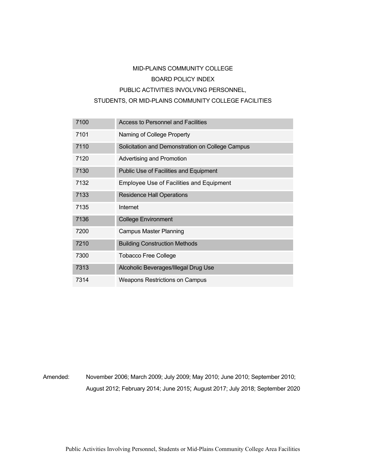# MID-PLAINS COMMUNITY COLLEGE BOARD POLICY INDEX PUBLIC ACTIVITIES INVOLVING PERSONNEL, STUDENTS, OR MID-PLAINS COMMUNITY COLLEGE FACILITIES

# Access to Personnel and Facilities Naming of College Property Solicitation and Demonstration on College Campus Advertising and Promotion Public Use of Facilities and Equipment Employee Use of Facilities and Equipment Residence Hall Operations Internet College Environment Campus Master Planning Building Construction Methods Tobacco Free College Alcoholic Beverages/Illegal Drug Use Weapons Restrictions on Campus

Amended: November 2006; March 2009; July 2009; May 2010; June 2010; September 2010; August 2012; February 2014; June 2015; August 2017; July 2018; September 2020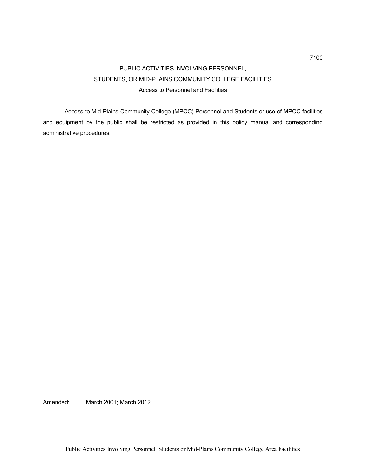# PUBLIC ACTIVITIES INVOLVING PERSONNEL, STUDENTS, OR MID-PLAINS COMMUNITY COLLEGE FACILITIES Access to Personnel and Facilities

Access to Mid-Plains Community College (MPCC) Personnel and Students or use of MPCC facilities and equipment by the public shall be restricted as provided in this policy manual and corresponding administrative procedures.

Amended: March 2001; March 2012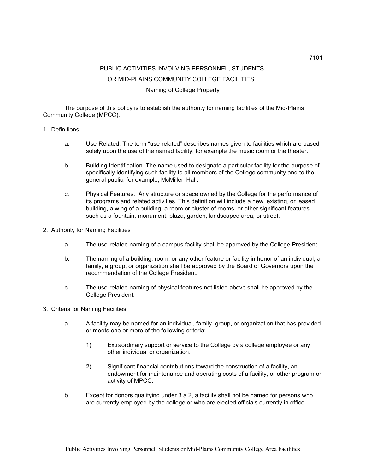# PUBLIC ACTIVITIES INVOLVING PERSONNEL, STUDENTS, OR MID-PLAINS COMMUNITY COLLEGE FACILITIES Naming of College Property

The purpose of this policy is to establish the authority for naming facilities of the Mid-Plains Community College (MPCC).

### 1. Definitions

- a. Use-Related. The term "use-related" describes names given to facilities which are based solely upon the use of the named facility; for example the music room or the theater.
- b. Building Identification. The name used to designate a particular facility for the purpose of specifically identifying such facility to all members of the College community and to the general public; for example, McMillen Hall.
- c. Physical Features. Any structure or space owned by the College for the performance of its programs and related activities. This definition will include a new, existing, or leased building, a wing of a building, a room or cluster of rooms, or other significant features such as a fountain, monument, plaza, garden, landscaped area, or street.
- 2. Authority for Naming Facilities
	- a. The use-related naming of a campus facility shall be approved by the College President.
	- b. The naming of a building, room, or any other feature or facility in honor of an individual, a family, a group, or organization shall be approved by the Board of Governors upon the recommendation of the College President.
	- c. The use-related naming of physical features not listed above shall be approved by the College President.
- 3. Criteria for Naming Facilities
	- a. A facility may be named for an individual, family, group, or organization that has provided or meets one or more of the following criteria:
		- 1) Extraordinary support or service to the College by a college employee or any other individual or organization.
		- 2) Significant financial contributions toward the construction of a facility, an endowment for maintenance and operating costs of a facility, or other program or activity of MPCC.
	- b. Except for donors qualifying under 3.a.2, a facility shall not be named for persons who are currently employed by the college or who are elected officials currently in office.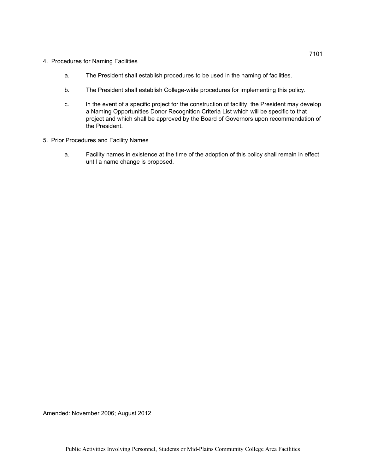- 4. Procedures for Naming Facilities
	- a. The President shall establish procedures to be used in the naming of facilities.
	- b. The President shall establish College-wide procedures for implementing this policy.
	- c. In the event of a specific project for the construction of facility, the President may develop a Naming Opportunities Donor Recognition Criteria List which will be specific to that project and which shall be approved by the Board of Governors upon recommendation of the President.
- 5. Prior Procedures and Facility Names
	- a. Facility names in existence at the time of the adoption of this policy shall remain in effect until a name change is proposed.

Amended: November 2006; August 2012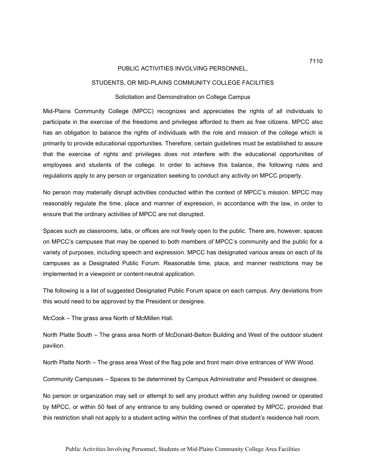### STUDENTS, OR MID-PLAINS COMMUNITY COLLEGE FACILITIES

### Solicitation and Demonstration on College Campus

Mid-Plains Community College (MPCC) recognizes and appreciates the rights of all individuals to participate in the exercise of the freedoms and privileges afforded to them as free citizens. MPCC also has an obligation to balance the rights of individuals with the role and mission of the college which is primarily to provide educational opportunities. Therefore, certain guidelines must be established to assure that the exercise of rights and privileges does not interfere with the educational opportunities of employees and students of the college. In order to achieve this balance, the following rules and regulations apply to any person or organization seeking to conduct any activity on MPCC property.

No person may materially disrupt activities conducted within the context of MPCC's mission. MPCC may reasonably regulate the time, place and manner of expression, in accordance with the law, in order to ensure that the ordinary activities of MPCC are not disrupted.

Spaces such as classrooms, labs, or offices are not freely open to the public. There are, however, spaces on MPCC's campuses that may be opened to both members of MPCC's community and the public for a variety of purposes, including speech and expression. MPCC has designated various areas on each of its campuses as a Designated Public Forum. Reasonable time, place, and manner restrictions may be implemented in a viewpoint or content-neutral application.

The following is a list of suggested Designated Public Forum space on each campus. Any deviations from this would need to be approved by the President or designee.

McCook – The grass area North of McMillen Hall.

North Platte South – The grass area North of McDonald-Belton Building and West of the outdoor student pavilion.

North Platte North – The grass area West of the flag pole and front main drive entrances of WW Wood.

Community Campuses – Spaces to be determined by Campus Administrator and President or designee.

No person or organization may sell or attempt to sell any product within any building owned or operated by MPCC, or within 50 feet of any entrance to any building owned or operated by MPCC, provided that this restriction shall not apply to a student acting within the confines of that student's residence hall room.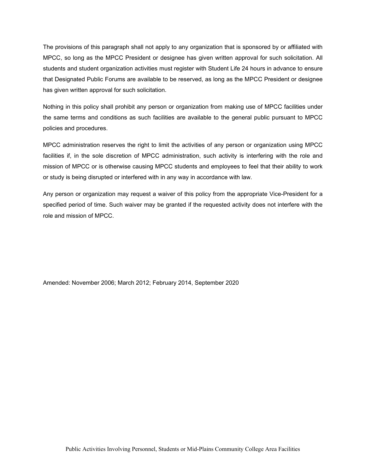The provisions of this paragraph shall not apply to any organization that is sponsored by or affiliated with MPCC, so long as the MPCC President or designee has given written approval for such solicitation. All students and student organization activities must register with Student Life 24 hours in advance to ensure that Designated Public Forums are available to be reserved, as long as the MPCC President or designee has given written approval for such solicitation.

Nothing in this policy shall prohibit any person or organization from making use of MPCC facilities under the same terms and conditions as such facilities are available to the general public pursuant to MPCC policies and procedures.

MPCC administration reserves the right to limit the activities of any person or organization using MPCC facilities if, in the sole discretion of MPCC administration, such activity is interfering with the role and mission of MPCC or is otherwise causing MPCC students and employees to feel that their ability to work or study is being disrupted or interfered with in any way in accordance with law.

Any person or organization may request a waiver of this policy from the appropriate Vice-President for a specified period of time. Such waiver may be granted if the requested activity does not interfere with the role and mission of MPCC.

Amended: November 2006; March 2012; February 2014, September 2020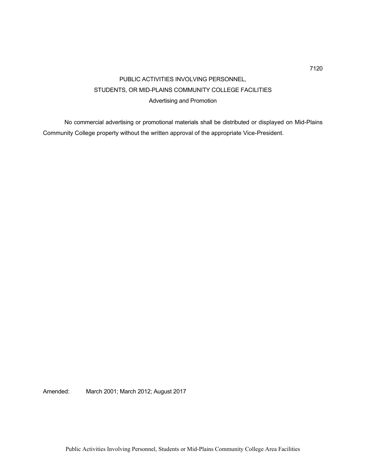# PUBLIC ACTIVITIES INVOLVING PERSONNEL, STUDENTS, OR MID-PLAINS COMMUNITY COLLEGE FACILITIES Advertising and Promotion

No commercial advertising or promotional materials shall be distributed or displayed on Mid-Plains Community College property without the written approval of the appropriate Vice-President.

Amended: March 2001; March 2012; August 2017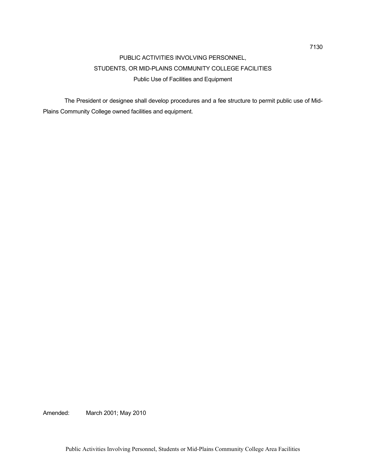# PUBLIC ACTIVITIES INVOLVING PERSONNEL, STUDENTS, OR MID-PLAINS COMMUNITY COLLEGE FACILITIES Public Use of Facilities and Equipment

The President or designee shall develop procedures and a fee structure to permit public use of Mid-Plains Community College owned facilities and equipment.

Amended: March 2001; May 2010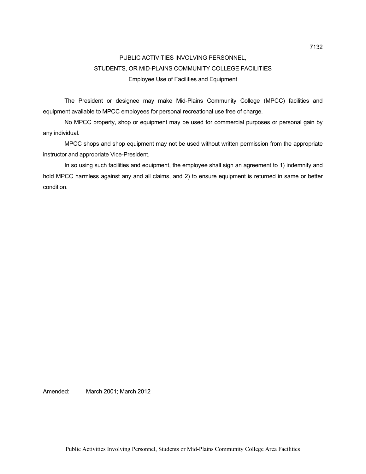# PUBLIC ACTIVITIES INVOLVING PERSONNEL, STUDENTS, OR MID-PLAINS COMMUNITY COLLEGE FACILITIES Employee Use of Facilities and Equipment

The President or designee may make Mid-Plains Community College (MPCC) facilities and equipment available to MPCC employees for personal recreational use free of charge.

No MPCC property, shop or equipment may be used for commercial purposes or personal gain by any individual.

MPCC shops and shop equipment may not be used without written permission from the appropriate instructor and appropriate Vice-President.

In so using such facilities and equipment, the employee shall sign an agreement to 1) indemnify and hold MPCC harmless against any and all claims, and 2) to ensure equipment is returned in same or better condition.

Amended: March 2001; March 2012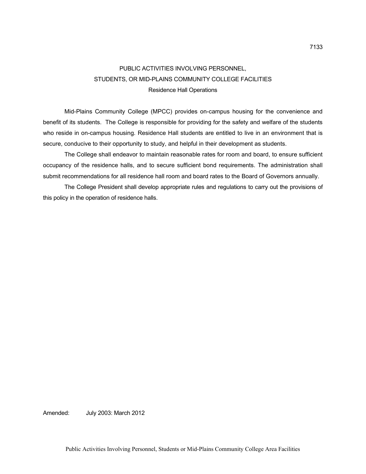# PUBLIC ACTIVITIES INVOLVING PERSONNEL, STUDENTS, OR MID-PLAINS COMMUNITY COLLEGE FACILITIES Residence Hall Operations

Mid-Plains Community College (MPCC) provides on-campus housing for the convenience and benefit of its students. The College is responsible for providing for the safety and welfare of the students who reside in on-campus housing. Residence Hall students are entitled to live in an environment that is secure, conducive to their opportunity to study, and helpful in their development as students.

The College shall endeavor to maintain reasonable rates for room and board, to ensure sufficient occupancy of the residence halls, and to secure sufficient bond requirements. The administration shall submit recommendations for all residence hall room and board rates to the Board of Governors annually.

The College President shall develop appropriate rules and regulations to carry out the provisions of this policy in the operation of residence halls.

Amended: July 2003: March 2012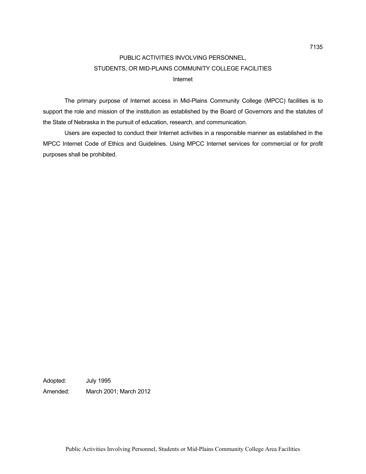# PUBLIC ACTIVITIES INVOLVING PERSONNEL, STUDENTS, OR MID-PLAINS COMMUNITY COLLEGE FACILITIES Internet

The primary purpose of Internet access in Mid-Plains Community College (MPCC) facilities is to support the role and mission of the institution as established by the Board of Governors and the statutes of the State of Nebraska in the pursuit of education, research, and communication.

Users are expected to conduct their Internet activities in a responsible manner as established in the MPCC Internet Code of Ethics and Guidelines. Using MPCC Internet services for commercial or for profit purposes shall be prohibited.

Adopted: July 1995 Amended: March 2001; March 2012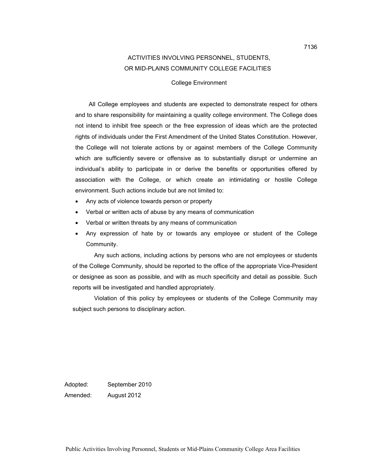# ACTIVITIES INVOLVING PERSONNEL, STUDENTS, OR MID-PLAINS COMMUNITY COLLEGE FACILITIES

#### College Environment

All College employees and students are expected to demonstrate respect for others and to share responsibility for maintaining a quality college environment. The College does not intend to inhibit free speech or the free expression of ideas which are the protected rights of individuals under the First Amendment of the United States Constitution. However, the College will not tolerate actions by or against members of the College Community which are sufficiently severe or offensive as to substantially disrupt or undermine an individual's ability to participate in or derive the benefits or opportunities offered by association with the College, or which create an intimidating or hostile College environment. Such actions include but are not limited to:

- Any acts of violence towards person or property
- Verbal or written acts of abuse by any means of communication
- Verbal or written threats by any means of communication
- Any expression of hate by or towards any employee or student of the College Community.

Any such actions, including actions by persons who are not employees or students of the College Community, should be reported to the office of the appropriate Vice-President or designee as soon as possible, and with as much specificity and detail as possible. Such reports will be investigated and handled appropriately.

Violation of this policy by employees or students of the College Community may subject such persons to disciplinary action.

Adopted: September 2010 Amended: August 2012

7136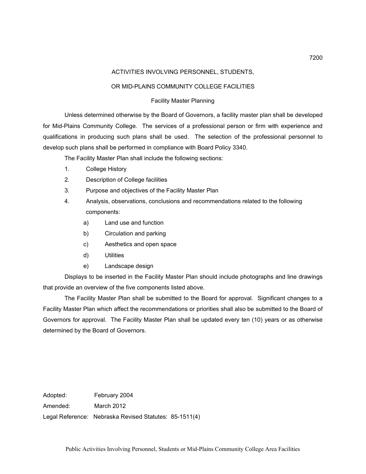### ACTIVITIES INVOLVING PERSONNEL, STUDENTS,

### OR MID-PLAINS COMMUNITY COLLEGE FACILITIES

### Facility Master Planning

Unless determined otherwise by the Board of Governors, a facility master plan shall be developed for Mid-Plains Community College. The services of a professional person or firm with experience and qualifications in producing such plans shall be used. The selection of the professional personnel to develop such plans shall be performed in compliance with Board Policy 3340.

The Facility Master Plan shall include the following sections:

- 1. College History
- 2. Description of College facilities
- 3. Purpose and objectives of the Facility Master Plan
- 4. Analysis, observations, conclusions and recommendations related to the following components:
	- a) Land use and function
	- b) Circulation and parking
	- c) Aesthetics and open space
	- d) Utilities
	- e) Landscape design

Displays to be inserted in the Facility Master Plan should include photographs and line drawings that provide an overview of the five components listed above.

The Facility Master Plan shall be submitted to the Board for approval. Significant changes to a Facility Master Plan which affect the recommendations or priorities shall also be submitted to the Board of Governors for approval. The Facility Master Plan shall be updated every ten (10) years or as otherwise determined by the Board of Governors.

Adopted: February 2004 Amended: March 2012 Legal Reference: Nebraska Revised Statutes: 85-1511(4)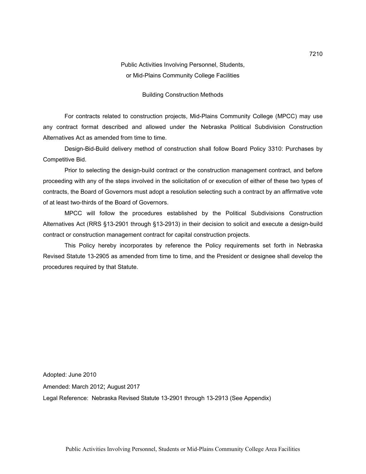## Public Activities Involving Personnel, Students, or Mid-Plains Community College Facilities

Building Construction Methods

For contracts related to construction projects, Mid-Plains Community College (MPCC) may use any contract format described and allowed under the Nebraska Political Subdivision Construction Alternatives Act as amended from time to time.

Design-Bid-Build delivery method of construction shall follow Board Policy 3310: Purchases by Competitive Bid.

Prior to selecting the design-build contract or the construction management contract, and before proceeding with any of the steps involved in the solicitation of or execution of either of these two types of contracts, the Board of Governors must adopt a resolution selecting such a contract by an affirmative vote of at least two-thirds of the Board of Governors.

MPCC will follow the procedures established by the Political Subdivisions Construction Alternatives Act (RRS §13-2901 through §13-2913) in their decision to solicit and execute a design-build contract or construction management contract for capital construction projects.

This Policy hereby incorporates by reference the Policy requirements set forth in Nebraska Revised Statute 13-2905 as amended from time to time, and the President or designee shall develop the procedures required by that Statute.

Adopted: June 2010 Amended: March 2012; August 2017 Legal Reference: Nebraska Revised Statute 13-2901 through 13-2913 (See Appendix)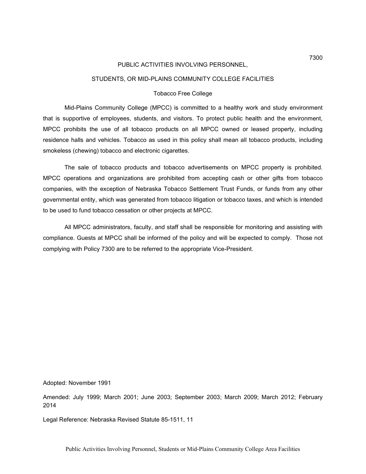### STUDENTS, OR MID-PLAINS COMMUNITY COLLEGE FACILITIES

### Tobacco Free College

Mid-Plains Community College (MPCC) is committed to a healthy work and study environment that is supportive of employees, students, and visitors. To protect public health and the environment, MPCC prohibits the use of all tobacco products on all MPCC owned or leased property, including residence halls and vehicles. Tobacco as used in this policy shall mean all tobacco products, including smokeless (chewing) tobacco and electronic cigarettes.

The sale of tobacco products and tobacco advertisements on MPCC property is prohibited. MPCC operations and organizations are prohibited from accepting cash or other gifts from tobacco companies, with the exception of Nebraska Tobacco Settlement Trust Funds, or funds from any other governmental entity, which was generated from tobacco litigation or tobacco taxes, and which is intended to be used to fund tobacco cessation or other projects at MPCC.

All MPCC administrators, faculty, and staff shall be responsible for monitoring and assisting with compliance. Guests at MPCC shall be informed of the policy and will be expected to comply. Those not complying with Policy 7300 are to be referred to the appropriate Vice-President.

Adopted: November 1991

Amended: July 1999; March 2001; June 2003; September 2003; March 2009; March 2012; February 2014

Legal Reference: Nebraska Revised Statute 85-1511, 11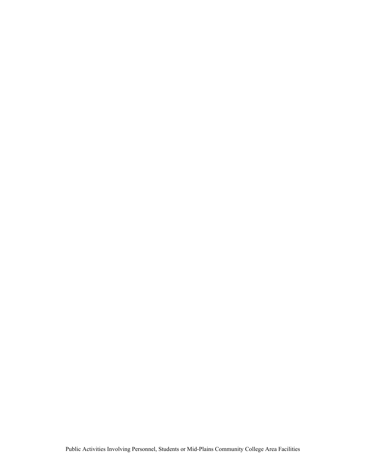Public Activities Involving Personnel, Students or Mid-Plains Community College Area Facilities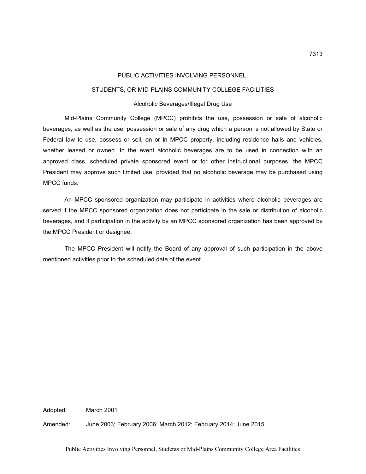#### STUDENTS, OR MID-PLAINS COMMUNITY COLLEGE FACILITIES

#### Alcoholic Beverages/Illegal Drug Use

Mid-Plains Community College (MPCC) prohibits the use, possession or sale of alcoholic beverages, as well as the use, possession or sale of any drug which a person is not allowed by State or Federal law to use, possess or sell, on or in MPCC property, including residence halls and vehicles, whether leased or owned. In the event alcoholic beverages are to be used in connection with an approved class, scheduled private sponsored event or for other instructional purposes, the MPCC President may approve such limited use, provided that no alcoholic beverage may be purchased using MPCC funds.

An MPCC sponsored organization may participate in activities where alcoholic beverages are served if the MPCC sponsored organization does not participate in the sale or distribution of alcoholic beverages, and if participation in the activity by an MPCC sponsored organization has been approved by the MPCC President or designee.

The MPCC President will notify the Board of any approval of such participation in the above mentioned activities prior to the scheduled date of the event.

Adopted: March 2001

Amended: June 2003; February 2006; March 2012; February 2014; June 2015